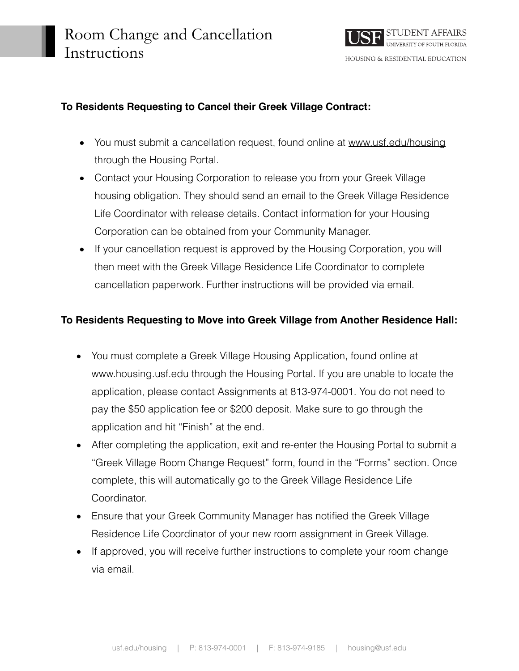

## **To Residents Requesting to Cancel their Greek Village Contract:**

- You must submit a cancellation request, found online at [www.usf.edu/housing](http://www.usf.edu/housing) through the Housing Portal.
- Contact your Housing Corporation to release you from your Greek Village housing obligation. They should send an email to the Greek Village Residence Life Coordinator with release details. Contact information for your Housing Corporation can be obtained from your Community Manager.
- If your cancellation request is approved by the Housing Corporation, you will then meet with the Greek Village Residence Life Coordinator to complete cancellation paperwork. Further instructions will be provided via email.

## **To Residents Requesting to Move into Greek Village from Another Residence Hall:**

- You must complete a Greek Village Housing Application, found online at [www.housing.usf.edu](http://www.housing.usf.edu) through the Housing Portal. If you are unable to locate the application, please contact Assignments at 813-974-0001. You do not need to pay the \$50 application fee or \$200 deposit. Make sure to go through the application and hit "Finish" at the end.
- After completing the application, exit and re-enter the Housing Portal to submit a "Greek Village Room Change Request" form, found in the "Forms" section. Once complete, this will automatically go to the Greek Village Residence Life Coordinator.
- Ensure that your Greek Community Manager has notified the Greek Village Residence Life Coordinator of your new room assignment in Greek Village.
- If approved, you will receive further instructions to complete your room change via email.